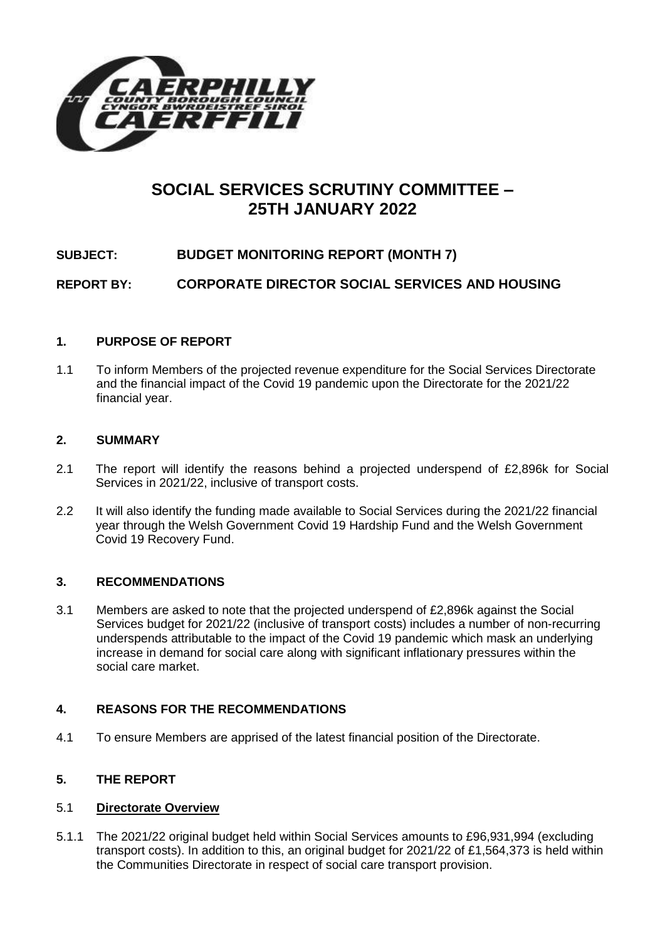

# **SOCIAL SERVICES SCRUTINY COMMITTEE – 25TH JANUARY 2022**

# **SUBJECT: BUDGET MONITORING REPORT (MONTH 7)**

**REPORT BY: CORPORATE DIRECTOR SOCIAL SERVICES AND HOUSING**

## **1. PURPOSE OF REPORT**

1.1 To inform Members of the projected revenue expenditure for the Social Services Directorate and the financial impact of the Covid 19 pandemic upon the Directorate for the 2021/22 financial year.

## **2. SUMMARY**

- 2.1 The report will identify the reasons behind a projected underspend of £2,896k for Social Services in 2021/22, inclusive of transport costs.
- 2.2 It will also identify the funding made available to Social Services during the 2021/22 financial year through the Welsh Government Covid 19 Hardship Fund and the Welsh Government Covid 19 Recovery Fund.

## **3. RECOMMENDATIONS**

3.1 Members are asked to note that the projected underspend of £2,896k against the Social Services budget for 2021/22 (inclusive of transport costs) includes a number of non-recurring underspends attributable to the impact of the Covid 19 pandemic which mask an underlying increase in demand for social care along with significant inflationary pressures within the social care market.

## **4. REASONS FOR THE RECOMMENDATIONS**

4.1 To ensure Members are apprised of the latest financial position of the Directorate.

## **5. THE REPORT**

## 5.1 **Directorate Overview**

5.1.1 The 2021/22 original budget held within Social Services amounts to £96,931,994 (excluding transport costs). In addition to this, an original budget for 2021/22 of £1,564,373 is held within the Communities Directorate in respect of social care transport provision.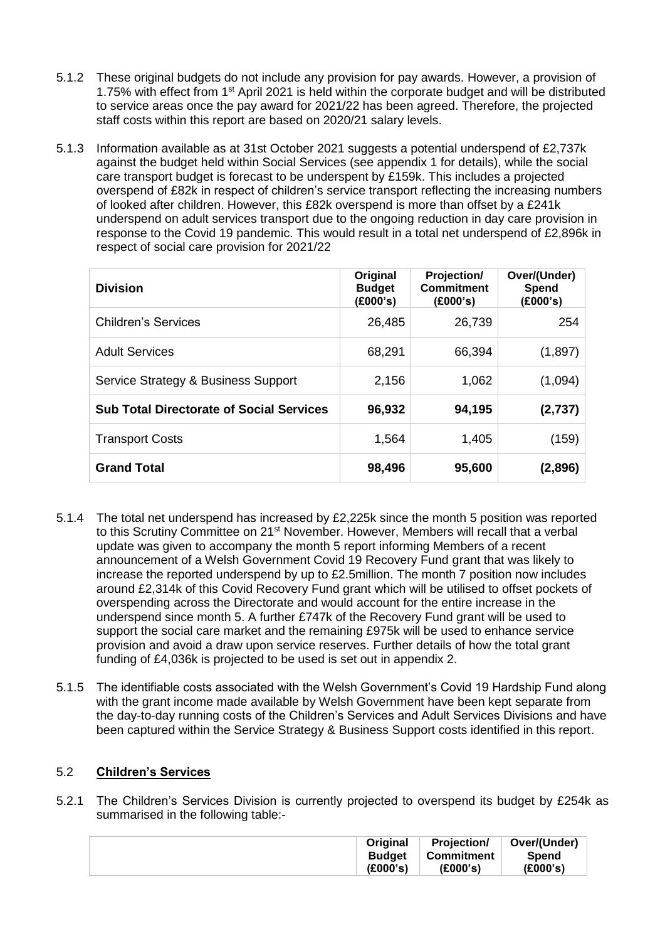- 5.1.2 These original budgets do not include any provision for pay awards. However, a provision of 1.75% with effect from 1st April 2021 is held within the corporate budget and will be distributed to service areas once the pay award for 2021/22 has been agreed. Therefore, the projected staff costs within this report are based on 2020/21 salary levels.
- 5.1.3 Information available as at 31st October 2021 suggests a potential underspend of £2,737k against the budget held within Social Services (see appendix 1 for details), while the social care transport budget is forecast to be underspent by £159k. This includes a projected overspend of £82k in respect of children's service transport reflecting the increasing numbers of looked after children. However, this £82k overspend is more than offset by a £241k underspend on adult services transport due to the ongoing reduction in day care provision in response to the Covid 19 pandemic. This would result in a total net underspend of £2,896k in respect of social care provision for 2021/22

| <b>Division</b>                                 | Original<br><b>Budget</b><br>(£000's) | Projection/<br><b>Commitment</b><br>(E000's) | Over/(Under)<br>Spend<br>(E000's) |
|-------------------------------------------------|---------------------------------------|----------------------------------------------|-----------------------------------|
| <b>Children's Services</b>                      | 26,485                                | 26,739                                       | 254                               |
| <b>Adult Services</b>                           | 68,291                                | 66,394                                       | (1,897)                           |
| Service Strategy & Business Support             | 2,156                                 | 1,062                                        | (1,094)                           |
| <b>Sub Total Directorate of Social Services</b> | 96,932                                | 94,195                                       | (2,737)                           |
| <b>Transport Costs</b>                          | 1,564                                 | 1,405                                        | (159)                             |
| <b>Grand Total</b>                              | 98,496                                | 95,600                                       | (2,896)                           |

- 5.1.4 The total net underspend has increased by £2,225k since the month 5 position was reported to this Scrutiny Committee on 21<sup>st</sup> November. However, Members will recall that a verbal update was given to accompany the month 5 report informing Members of a recent announcement of a Welsh Government Covid 19 Recovery Fund grant that was likely to increase the reported underspend by up to £2.5million. The month 7 position now includes around £2,314k of this Covid Recovery Fund grant which will be utilised to offset pockets of overspending across the Directorate and would account for the entire increase in the underspend since month 5. A further £747k of the Recovery Fund grant will be used to support the social care market and the remaining £975k will be used to enhance service provision and avoid a draw upon service reserves. Further details of how the total grant funding of £4,036k is projected to be used is set out in appendix 2.
- 5.1.5 The identifiable costs associated with the Welsh Government's Covid 19 Hardship Fund along with the grant income made available by Welsh Government have been kept separate from the day-to-day running costs of the Children's Services and Adult Services Divisions and have been captured within the Service Strategy & Business Support costs identified in this report.

# 5.2 **Children's Services**

5.2.1 The Children's Services Division is currently projected to overspend its budget by £254k as summarised in the following table:-

| <b>Original</b> | <b>Projection/</b> | Over/(Under) |
|-----------------|--------------------|--------------|
| <b>Budget</b>   | Commitment         | Spend        |
| (£000's)        | (E000's)           | (£000's)     |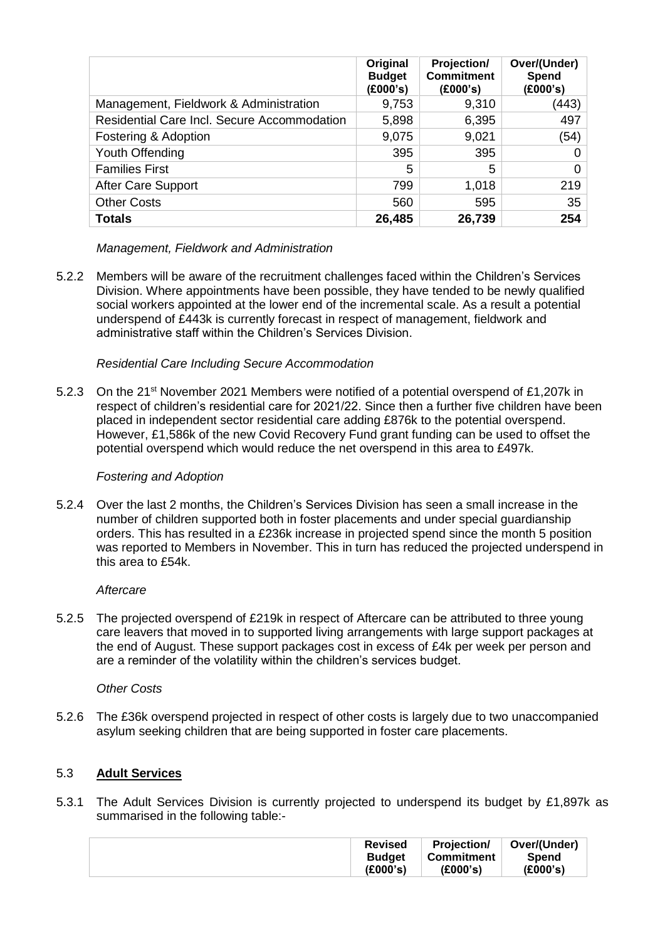|                                             | Original<br><b>Budget</b><br>(£000's) | Projection/<br><b>Commitment</b><br>(£000's) | Over/(Under)<br>Spend<br>(£000's) |
|---------------------------------------------|---------------------------------------|----------------------------------------------|-----------------------------------|
| Management, Fieldwork & Administration      | 9,753                                 | 9,310                                        | (443)                             |
| Residential Care Incl. Secure Accommodation | 5,898                                 | 6,395                                        | 497                               |
| Fostering & Adoption                        | 9,075                                 | 9,021                                        | (54)                              |
| Youth Offending                             | 395                                   | 395                                          | 0                                 |
| <b>Families First</b>                       | 5                                     | 5                                            | 0                                 |
| After Care Support                          | 799                                   | 1,018                                        | 219                               |
| <b>Other Costs</b>                          | 560                                   | 595                                          | 35                                |
| <b>Totals</b>                               | 26,485                                | 26,739                                       | 254                               |

# *Management, Fieldwork and Administration*

5.2.2 Members will be aware of the recruitment challenges faced within the Children's Services Division. Where appointments have been possible, they have tended to be newly qualified social workers appointed at the lower end of the incremental scale. As a result a potential underspend of £443k is currently forecast in respect of management, fieldwork and administrative staff within the Children's Services Division.

## *Residential Care Including Secure Accommodation*

5.2.3 On the 21<sup>st</sup> November 2021 Members were notified of a potential overspend of £1,207k in respect of children's residential care for 2021/22. Since then a further five children have been placed in independent sector residential care adding £876k to the potential overspend. However, £1,586k of the new Covid Recovery Fund grant funding can be used to offset the potential overspend which would reduce the net overspend in this area to £497k.

## *Fostering and Adoption*

5.2.4 Over the last 2 months, the Children's Services Division has seen a small increase in the number of children supported both in foster placements and under special guardianship orders. This has resulted in a £236k increase in projected spend since the month 5 position was reported to Members in November. This in turn has reduced the projected underspend in this area to £54k.

## *Aftercare*

5.2.5 The projected overspend of £219k in respect of Aftercare can be attributed to three young care leavers that moved in to supported living arrangements with large support packages at the end of August. These support packages cost in excess of £4k per week per person and are a reminder of the volatility within the children's services budget.

## *Other Costs*

5.2.6 The £36k overspend projected in respect of other costs is largely due to two unaccompanied asylum seeking children that are being supported in foster care placements.

# 5.3 **Adult Services**

5.3.1 The Adult Services Division is currently projected to underspend its budget by £1,897k as summarised in the following table:-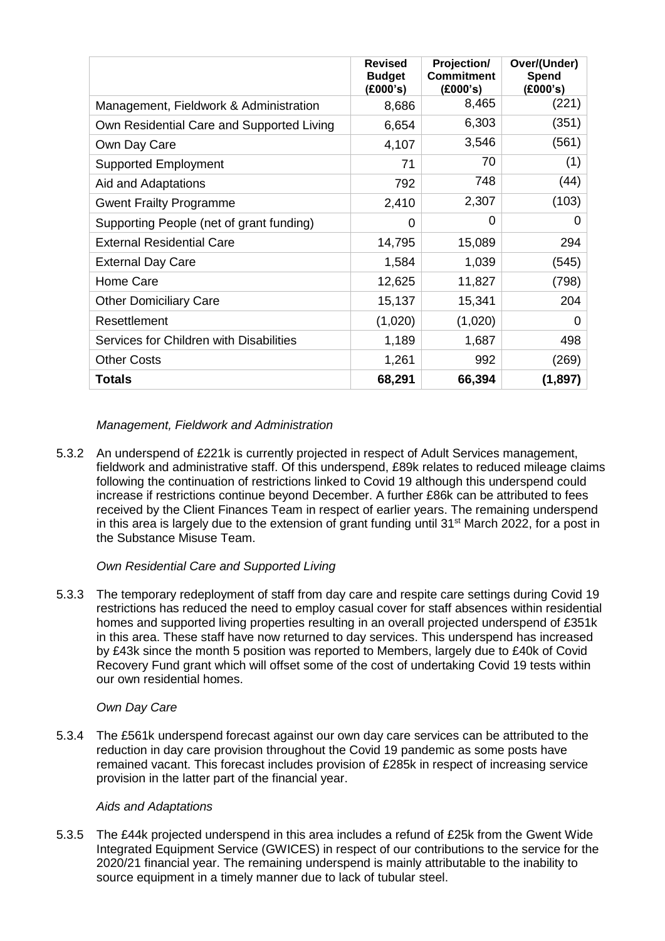|                                           | <b>Revised</b><br><b>Budget</b><br>(£000's) | Projection/<br><b>Commitment</b><br>(£000's) | Over/(Under)<br>Spend<br>(E000's) |
|-------------------------------------------|---------------------------------------------|----------------------------------------------|-----------------------------------|
| Management, Fieldwork & Administration    | 8,686                                       | 8,465                                        | (221)                             |
| Own Residential Care and Supported Living | 6,654                                       | 6,303                                        | (351)                             |
| Own Day Care                              | 4,107                                       | 3,546                                        | (561)                             |
| <b>Supported Employment</b>               | 71                                          | 70                                           | (1)                               |
| Aid and Adaptations                       | 792                                         | 748                                          | (44)                              |
| <b>Gwent Frailty Programme</b>            | 2,410                                       | 2,307                                        | (103)                             |
| Supporting People (net of grant funding)  | 0                                           | 0                                            | 0                                 |
| <b>External Residential Care</b>          | 14,795                                      | 15,089                                       | 294                               |
| <b>External Day Care</b>                  | 1,584                                       | 1,039                                        | (545)                             |
| Home Care                                 | 12,625                                      | 11,827                                       | (798)                             |
| <b>Other Domiciliary Care</b>             | 15,137                                      | 15,341                                       | 204                               |
| Resettlement                              | (1,020)                                     | (1,020)                                      | 0                                 |
| Services for Children with Disabilities   | 1,189                                       | 1,687                                        | 498                               |
| <b>Other Costs</b>                        | 1,261                                       | 992                                          | (269)                             |
| <b>Totals</b>                             | 68,291                                      | 66,394                                       | (1,897)                           |

# *Management, Fieldwork and Administration*

5.3.2 An underspend of £221k is currently projected in respect of Adult Services management, fieldwork and administrative staff. Of this underspend, £89k relates to reduced mileage claims following the continuation of restrictions linked to Covid 19 although this underspend could increase if restrictions continue beyond December. A further £86k can be attributed to fees received by the Client Finances Team in respect of earlier years. The remaining underspend in this area is largely due to the extension of grant funding until 31 $\mathrm{st}$  March 2022, for a post in the Substance Misuse Team.

# *Own Residential Care and Supported Living*

5.3.3 The temporary redeployment of staff from day care and respite care settings during Covid 19 restrictions has reduced the need to employ casual cover for staff absences within residential homes and supported living properties resulting in an overall projected underspend of £351k in this area. These staff have now returned to day services. This underspend has increased by £43k since the month 5 position was reported to Members, largely due to £40k of Covid Recovery Fund grant which will offset some of the cost of undertaking Covid 19 tests within our own residential homes.

## *Own Day Care*

5.3.4 The £561k underspend forecast against our own day care services can be attributed to the reduction in day care provision throughout the Covid 19 pandemic as some posts have remained vacant. This forecast includes provision of £285k in respect of increasing service provision in the latter part of the financial year.

## *Aids and Adaptations*

5.3.5 The £44k projected underspend in this area includes a refund of £25k from the Gwent Wide Integrated Equipment Service (GWICES) in respect of our contributions to the service for the 2020/21 financial year. The remaining underspend is mainly attributable to the inability to source equipment in a timely manner due to lack of tubular steel.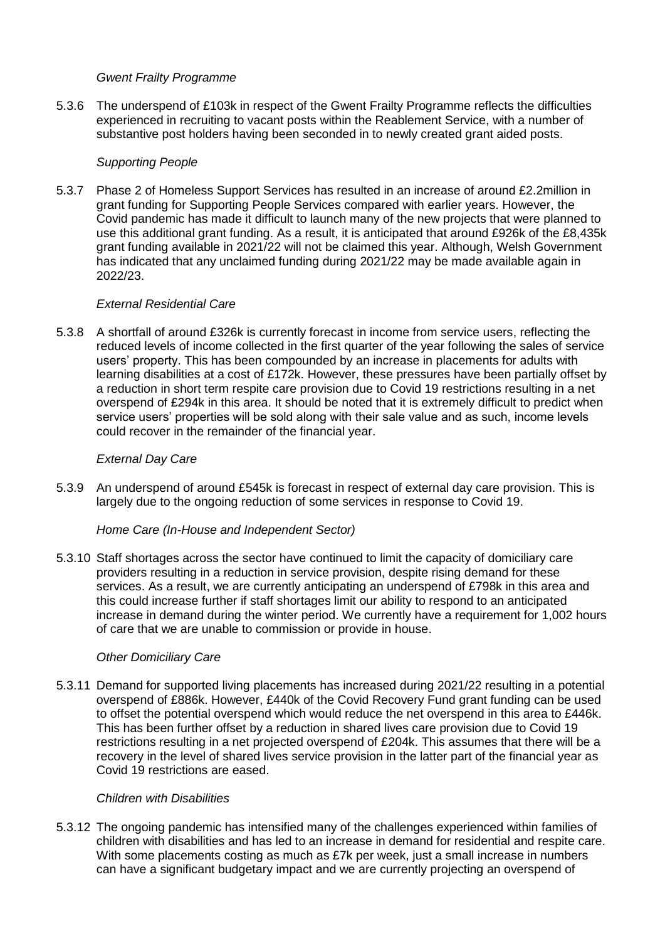## *Gwent Frailty Programme*

5.3.6 The underspend of £103k in respect of the Gwent Frailty Programme reflects the difficulties experienced in recruiting to vacant posts within the Reablement Service, with a number of substantive post holders having been seconded in to newly created grant aided posts.

#### *Supporting People*

5.3.7 Phase 2 of Homeless Support Services has resulted in an increase of around £2.2million in grant funding for Supporting People Services compared with earlier years. However, the Covid pandemic has made it difficult to launch many of the new projects that were planned to use this additional grant funding. As a result, it is anticipated that around £926k of the £8,435k grant funding available in 2021/22 will not be claimed this year. Although, Welsh Government has indicated that any unclaimed funding during 2021/22 may be made available again in 2022/23.

#### *External Residential Care*

5.3.8 A shortfall of around £326k is currently forecast in income from service users, reflecting the reduced levels of income collected in the first quarter of the year following the sales of service users' property. This has been compounded by an increase in placements for adults with learning disabilities at a cost of £172k. However, these pressures have been partially offset by a reduction in short term respite care provision due to Covid 19 restrictions resulting in a net overspend of £294k in this area. It should be noted that it is extremely difficult to predict when service users' properties will be sold along with their sale value and as such, income levels could recover in the remainder of the financial year.

#### *External Day Care*

5.3.9 An underspend of around £545k is forecast in respect of external day care provision. This is largely due to the ongoing reduction of some services in response to Covid 19.

#### *Home Care (In-House and Independent Sector)*

5.3.10 Staff shortages across the sector have continued to limit the capacity of domiciliary care providers resulting in a reduction in service provision, despite rising demand for these services. As a result, we are currently anticipating an underspend of £798k in this area and this could increase further if staff shortages limit our ability to respond to an anticipated increase in demand during the winter period. We currently have a requirement for 1,002 hours of care that we are unable to commission or provide in house.

#### *Other Domiciliary Care*

5.3.11 Demand for supported living placements has increased during 2021/22 resulting in a potential overspend of £886k. However, £440k of the Covid Recovery Fund grant funding can be used to offset the potential overspend which would reduce the net overspend in this area to £446k. This has been further offset by a reduction in shared lives care provision due to Covid 19 restrictions resulting in a net projected overspend of £204k. This assumes that there will be a recovery in the level of shared lives service provision in the latter part of the financial year as Covid 19 restrictions are eased.

#### *Children with Disabilities*

5.3.12 The ongoing pandemic has intensified many of the challenges experienced within families of children with disabilities and has led to an increase in demand for residential and respite care. With some placements costing as much as £7k per week, just a small increase in numbers can have a significant budgetary impact and we are currently projecting an overspend of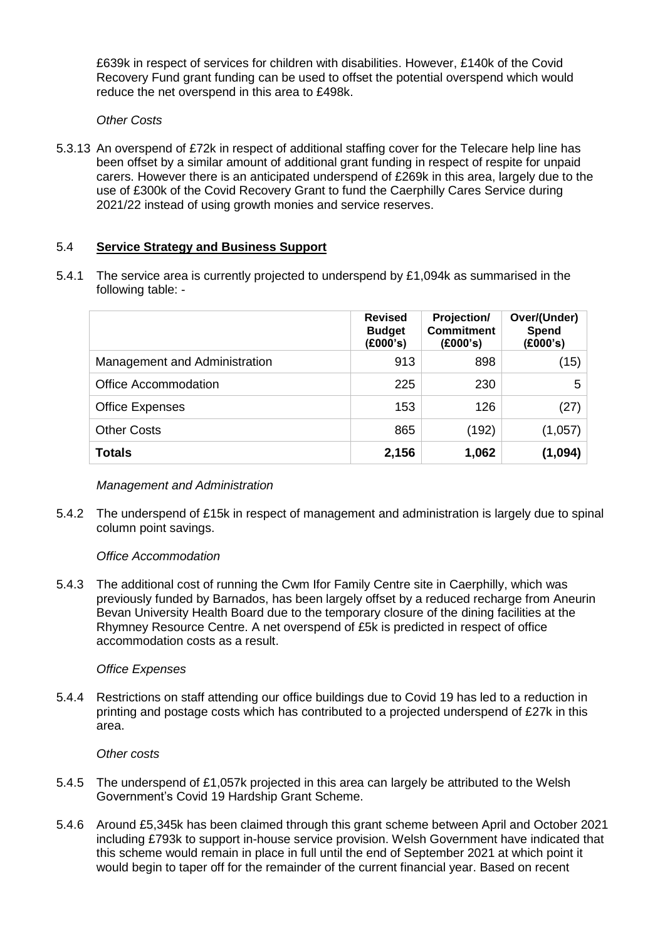£639k in respect of services for children with disabilities. However, £140k of the Covid Recovery Fund grant funding can be used to offset the potential overspend which would reduce the net overspend in this area to £498k.

*Other Costs*

5.3.13 An overspend of £72k in respect of additional staffing cover for the Telecare help line has been offset by a similar amount of additional grant funding in respect of respite for unpaid carers. However there is an anticipated underspend of £269k in this area, largely due to the use of £300k of the Covid Recovery Grant to fund the Caerphilly Cares Service during 2021/22 instead of using growth monies and service reserves.

# 5.4 **Service Strategy and Business Support**

5.4.1 The service area is currently projected to underspend by £1,094k as summarised in the following table: -

|                               | <b>Revised</b><br><b>Budget</b><br>(E000's) | <b>Projection/</b><br><b>Commitment</b><br>(E000's) | Over/(Under)<br>Spend<br>(£000's) |
|-------------------------------|---------------------------------------------|-----------------------------------------------------|-----------------------------------|
| Management and Administration | 913                                         | 898                                                 | (15)                              |
| <b>Office Accommodation</b>   | 225                                         | 230                                                 | 5                                 |
| <b>Office Expenses</b>        | 153                                         | 126                                                 | (27)                              |
| <b>Other Costs</b>            | 865                                         | (192)                                               | (1,057)                           |
| <b>Totals</b>                 | 2,156                                       | 1,062                                               | (1,094)                           |

## *Management and Administration*

5.4.2 The underspend of £15k in respect of management and administration is largely due to spinal column point savings.

## *Office Accommodation*

5.4.3 The additional cost of running the Cwm Ifor Family Centre site in Caerphilly, which was previously funded by Barnados, has been largely offset by a reduced recharge from Aneurin Bevan University Health Board due to the temporary closure of the dining facilities at the Rhymney Resource Centre. A net overspend of £5k is predicted in respect of office accommodation costs as a result.

## *Office Expenses*

5.4.4 Restrictions on staff attending our office buildings due to Covid 19 has led to a reduction in printing and postage costs which has contributed to a projected underspend of £27k in this area.

## *Other costs*

- 5.4.5 The underspend of £1,057k projected in this area can largely be attributed to the Welsh Government's Covid 19 Hardship Grant Scheme.
- 5.4.6 Around £5,345k has been claimed through this grant scheme between April and October 2021 including £793k to support in-house service provision. Welsh Government have indicated that this scheme would remain in place in full until the end of September 2021 at which point it would begin to taper off for the remainder of the current financial year. Based on recent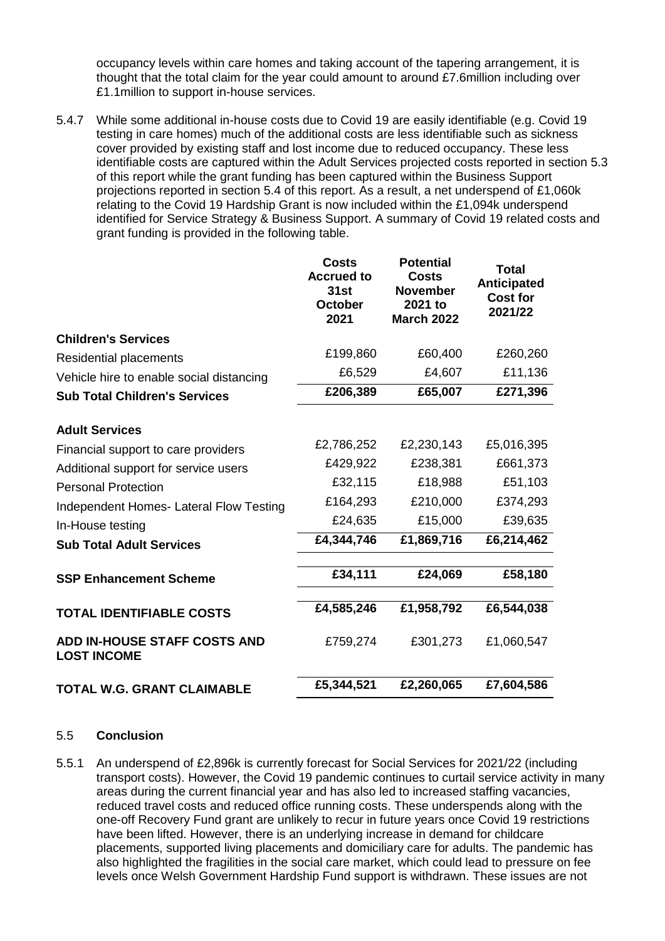occupancy levels within care homes and taking account of the tapering arrangement, it is thought that the total claim for the year could amount to around £7.6million including over £1.1million to support in-house services.

5.4.7 While some additional in-house costs due to Covid 19 are easily identifiable (e.g. Covid 19 testing in care homes) much of the additional costs are less identifiable such as sickness cover provided by existing staff and lost income due to reduced occupancy. These less identifiable costs are captured within the Adult Services projected costs reported in section 5.3 of this report while the grant funding has been captured within the Business Support projections reported in section 5.4 of this report. As a result, a net underspend of £1,060k relating to the Covid 19 Hardship Grant is now included within the £1,094k underspend identified for Service Strategy & Business Support. A summary of Covid 19 related costs and grant funding is provided in the following table.

|                                                    | <b>Costs</b><br><b>Accrued to</b><br><b>31st</b><br><b>October</b><br>2021 | <b>Potential</b><br><b>Costs</b><br><b>November</b><br>2021 to<br><b>March 2022</b> | <b>Total</b><br><b>Anticipated</b><br><b>Cost for</b><br>2021/22 |
|----------------------------------------------------|----------------------------------------------------------------------------|-------------------------------------------------------------------------------------|------------------------------------------------------------------|
| <b>Children's Services</b>                         |                                                                            |                                                                                     |                                                                  |
| Residential placements                             | £199,860                                                                   | £60,400                                                                             | £260,260                                                         |
| Vehicle hire to enable social distancing           | £6,529                                                                     | £4,607                                                                              | £11,136                                                          |
| <b>Sub Total Children's Services</b>               | £206,389                                                                   | £65,007                                                                             | £271,396                                                         |
| <b>Adult Services</b>                              |                                                                            |                                                                                     |                                                                  |
| Financial support to care providers                | £2,786,252                                                                 | £2,230,143                                                                          | £5,016,395                                                       |
| Additional support for service users               | £429,922                                                                   | £238,381                                                                            | £661,373                                                         |
| <b>Personal Protection</b>                         | £32,115                                                                    | £18,988                                                                             | £51,103                                                          |
| Independent Homes- Lateral Flow Testing            | £164,293                                                                   | £210,000                                                                            | £374,293                                                         |
| In-House testing                                   | £24,635                                                                    | £15,000                                                                             | £39,635                                                          |
| <b>Sub Total Adult Services</b>                    | £4,344,746                                                                 | £1,869,716                                                                          | £6,214,462                                                       |
| <b>SSP Enhancement Scheme</b>                      | £34,111                                                                    | £24,069                                                                             | £58,180                                                          |
| <b>TOTAL IDENTIFIABLE COSTS</b>                    | £4,585,246                                                                 | £1,958,792                                                                          | £6,544,038                                                       |
| ADD IN-HOUSE STAFF COSTS AND<br><b>LOST INCOME</b> | £759,274                                                                   | £301,273                                                                            | £1,060,547                                                       |
| <b>TOTAL W.G. GRANT CLAIMABLE</b>                  | £5,344,521                                                                 | £2,260,065                                                                          | £7,604,586                                                       |

#### 5.5 **Conclusion**

5.5.1 An underspend of £2,896k is currently forecast for Social Services for 2021/22 (including transport costs). However, the Covid 19 pandemic continues to curtail service activity in many areas during the current financial year and has also led to increased staffing vacancies, reduced travel costs and reduced office running costs. These underspends along with the one-off Recovery Fund grant are unlikely to recur in future years once Covid 19 restrictions have been lifted. However, there is an underlying increase in demand for childcare placements, supported living placements and domiciliary care for adults. The pandemic has also highlighted the fragilities in the social care market, which could lead to pressure on fee levels once Welsh Government Hardship Fund support is withdrawn. These issues are not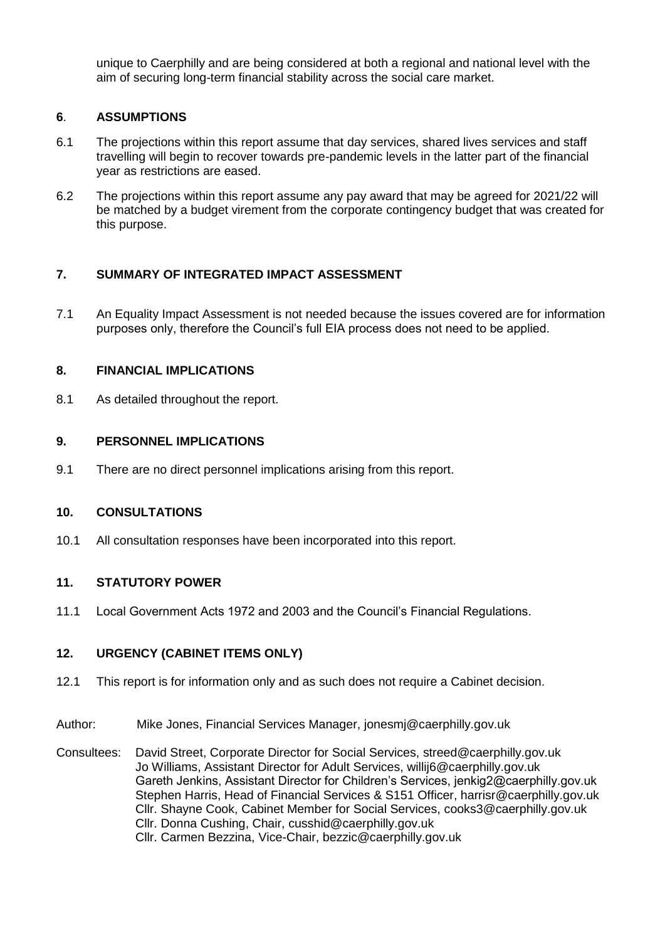unique to Caerphilly and are being considered at both a regional and national level with the aim of securing long-term financial stability across the social care market.

## **6**. **ASSUMPTIONS**

- 6.1 The projections within this report assume that day services, shared lives services and staff travelling will begin to recover towards pre-pandemic levels in the latter part of the financial year as restrictions are eased.
- 6.2 The projections within this report assume any pay award that may be agreed for 2021/22 will be matched by a budget virement from the corporate contingency budget that was created for this purpose.

## **7. SUMMARY OF INTEGRATED IMPACT ASSESSMENT**

7.1 An Equality Impact Assessment is not needed because the issues covered are for information purposes only, therefore the Council's full EIA process does not need to be applied.

#### **8. FINANCIAL IMPLICATIONS**

8.1 As detailed throughout the report.

### **9. PERSONNEL IMPLICATIONS**

9.1 There are no direct personnel implications arising from this report.

### **10. CONSULTATIONS**

10.1 All consultation responses have been incorporated into this report.

# **11. STATUTORY POWER**

11.1 Local Government Acts 1972 and 2003 and the Council's Financial Regulations.

## **12. URGENCY (CABINET ITEMS ONLY)**

- 12.1 This report is for information only and as such does not require a Cabinet decision.
- Author: Mike Jones, Financial Services Manager, jonesmj@caerphilly.gov.uk

Consultees: David Street, Corporate Director for Social Services, streed@caerphilly.gov.uk Jo Williams, Assistant Director for Adult Services, willij6@caerphilly.gov.uk Gareth Jenkins, Assistant Director for Children's Services, jenkig2@caerphilly.gov.uk Stephen Harris, Head of Financial Services & S151 Officer, harrisr@caerphilly.gov.uk Cllr. Shayne Cook, Cabinet Member for Social Services, cooks3@caerphilly.gov.uk Cllr. Donna Cushing, Chair, cusshid@caerphilly.gov.uk Cllr. Carmen Bezzina, Vice-Chair, bezzic@caerphilly.gov.uk